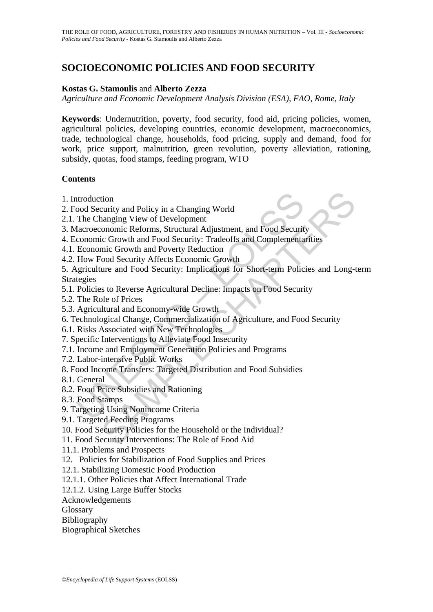# **SOCIOECONOMIC POLICIES AND FOOD SECURITY**

#### **Kostas G. Stamoulis** and **Alberto Zezza**

*Agriculture and Economic Development Analysis Division (ESA), FAO, Rome, Italy* 

**Keywords**: Undernutrition, poverty, food security, food aid, pricing policies, women, agricultural policies, developing countries, economic development, macroeconomics, trade, technological change, households, food pricing, supply and demand, food for work, price support, malnutrition, green revolution, poverty alleviation, rationing, subsidy, quotas, food stamps, feeding program, WTO

#### **Contents**

- 1. Introduction
- 2. Food Security and Policy in a Changing World
- 2.1. The Changing View of Development
- 3. Macroeconomic Reforms, Structural Adjustment, and Food Security
- 4. Economic Growth and Food Security: Tradeoffs and Complementarities
- 4.1. Economic Growth and Poverty Reduction
- 4.2. How Food Security Affects Economic Growth

ntroduction<br>
cood Security and Policy in a Changing World<br>
The Changing View of Development<br>
dacroeconomic Growth and Food Security: Tradeoffs and Complementa<br>
conomic Growth and Pood Security: Tradeoffs and Complementa<br>
E tion<br>
tion<br>
anarging View of Development<br>
manging View of Development<br>
conomic Reforms, Structural Adjustment, and Food Security<br>
cic Growth and Food Security: Tradeoffs and Complementarities<br>
mic Growth and Poverty Reduct 5. Agriculture and Food Security: Implications for Short-term Policies and Long-term Strategies

- 5.1. Policies to Reverse Agricultural Decline: Impacts on Food Security
- 5.2. The Role of Prices
- 5.3. Agricultural and Economy-wide Growth
- 6. Technological Change, Commercialization of Agriculture, and Food Security
- 6.1. Risks Associated with New Technologies
- 7. Specific Interventions to Alleviate Food Insecurity
- 7.1. Income and Employment Generation Policies and Programs
- 7.2. Labor-intensive Public Works
- 8. Food Income Transfers: Targeted Distribution and Food Subsidies
- 8.1. General
- 8.2. Food Price Subsidies and Rationing
- 8.3. Food Stamps
- 9. Targeting Using Nonincome Criteria
- 9.1. Targeted Feeding Programs
- 10. Food Security Policies for the Household or the Individual?
- 11. Food Security Interventions: The Role of Food Aid
- 11.1. Problems and Prospects
- 12. Policies for Stabilization of Food Supplies and Prices
- 12.1. Stabilizing Domestic Food Production
- 12.1.1. Other Policies that Affect International Trade
- 12.1.2. Using Large Buffer Stocks
- Acknowledgements
- **Glossary**
- Bibliography
- Biographical Sketches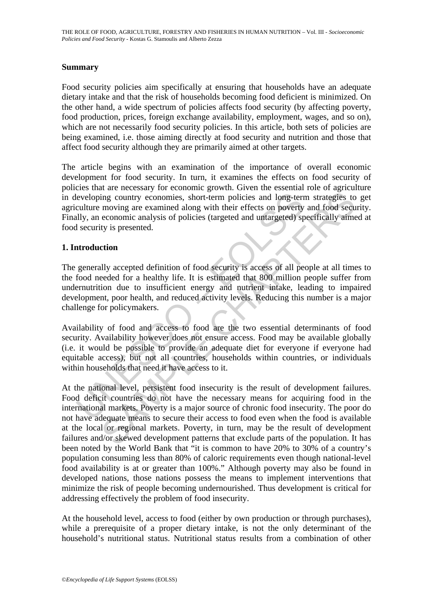#### **Summary**

Food security policies aim specifically at ensuring that households have an adequate dietary intake and that the risk of households becoming food deficient is minimized. On the other hand, a wide spectrum of policies affects food security (by affecting poverty, food production, prices, foreign exchange availability, employment, wages, and so on), which are not necessarily food security policies. In this article, both sets of policies are being examined, i.e. those aiming directly at food security and nutrition and those that affect food security although they are primarily aimed at other targets.

The article begins with an examination of the importance of overall economic development for food security. In turn, it examines the effects on food security of policies that are necessary for economic growth. Given the essential role of agriculture in developing country economies, short-term policies and long-term strategies to get agriculture moving are examined along with their effects on poverty and food security. Finally, an economic analysis of policies (targeted and untargeted) specifically aimed at food security is presented.

#### **1. Introduction**

leveloping country economies, short-term policies and long-term<br>culture moving are examined along with their effects on poverty<br>ully, an economic analysis of policies (targeted and untargeted) sp<br>discountry is presented.<br> The generally accepted definition of food security is access of all people at all times to the food needed for a healthy life. It is estimated that 800 million people suffer from undernutrition due to insufficient energy and nutrient intake, leading to impaired development, poor health, and reduced activity levels. Reducing this number is a major challenge for policymakers.

Availability of food and access to food are the two essential determinants of food security. Availability however does not ensure access. Food may be available globally (i.e. it would be possible to provide an adequate diet for everyone if everyone had equitable access), but not all countries, households within countries, or individuals within households that need it have access to it.

ing country economies, short-term policies and long-term strategies to moving are examined along with their effects on poverty and food secure economic analysis of policies (targeted and untargeted) specifically aims<br>ty is At the national level, persistent food insecurity is the result of development failures. Food deficit countries do not have the necessary means for acquiring food in the international markets. Poverty is a major source of chronic food insecurity. The poor do not have adequate means to secure their access to food even when the food is available at the local or regional markets. Poverty, in turn, may be the result of development failures and/or skewed development patterns that exclude parts of the population. It has been noted by the World Bank that "it is common to have 20% to 30% of a country's population consuming less than 80% of caloric requirements even though national-level food availability is at or greater than 100%." Although poverty may also be found in developed nations, those nations possess the means to implement interventions that minimize the risk of people becoming undernourished. Thus development is critical for addressing effectively the problem of food insecurity.

At the household level, access to food (either by own production or through purchases), while a prerequisite of a proper dietary intake, is not the only determinant of the household's nutritional status. Nutritional status results from a combination of other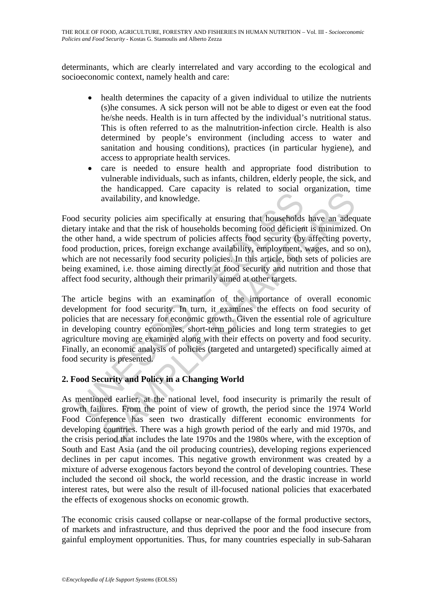determinants, which are clearly interrelated and vary according to the ecological and socioeconomic context, namely health and care:

- health determines the capacity of a given individual to utilize the nutrients (s)he consumes. A sick person will not be able to digest or even eat the food he/she needs. Health is in turn affected by the individual's nutritional status. This is often referred to as the malnutrition-infection circle. Health is also determined by people's environment (including access to water and sanitation and housing conditions), practices (in particular hygiene), and access to appropriate health services.
- care is needed to ensure health and appropriate food distribution to vulnerable individuals, such as infants, children, elderly people, the sick, and the handicapped. Care capacity is related to social organization, time availability, and knowledge.

Food security policies aim specifically at ensuring that households have an adequate dietary intake and that the risk of households becoming food deficient is minimized. On the other hand, a wide spectrum of policies affects food security (by affecting poverty, food production, prices, foreign exchange availability, employment, wages, and so on), which are not necessarily food security policies. In this article, both sets of policies are being examined, i.e. those aiming directly at food security and nutrition and those that affect food security, although their primarily aimed at other targets.

and a knowledge.<br>
a sailability, and knowledge.<br>
d security policies aim specifically at ensuring that households<br>
ary intake and that the risk of households becoming food deficien<br>
other hand, a wide spectrum of policies are manufeupled. Care equativy is related to social organization, and anoual and the risk of households becoming that households have an adeq and that the risk of households becoming food deficient is minimized that and th The article begins with an examination of the importance of overall economic development for food security. In turn, it examines the effects on food security of policies that are necessary for economic growth. Given the essential role of agriculture in developing country economies, short-term policies and long term strategies to get agriculture moving are examined along with their effects on poverty and food security. Finally, an economic analysis of policies (targeted and untargeted) specifically aimed at food security is presented.

## **2. Food Security and Policy in a Changing World**

As mentioned earlier, at the national level, food insecurity is primarily the result of growth failures. From the point of view of growth, the period since the 1974 World Food Conference has seen two drastically different economic environments for developing countries. There was a high growth period of the early and mid 1970s, and the crisis period that includes the late 1970s and the 1980s where, with the exception of South and East Asia (and the oil producing countries), developing regions experienced declines in per caput incomes. This negative growth environment was created by a mixture of adverse exogenous factors beyond the control of developing countries. These included the second oil shock, the world recession, and the drastic increase in world interest rates, but were also the result of ill-focused national policies that exacerbated the effects of exogenous shocks on economic growth.

The economic crisis caused collapse or near-collapse of the formal productive sectors, of markets and infrastructure, and thus deprived the poor and the food insecure from gainful employment opportunities. Thus, for many countries especially in sub-Saharan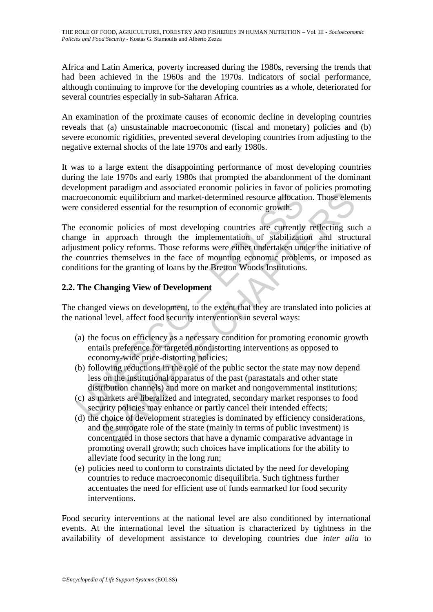Africa and Latin America, poverty increased during the 1980s, reversing the trends that had been achieved in the 1960s and the 1970s. Indicators of social performance, although continuing to improve for the developing countries as a whole, deteriorated for several countries especially in sub-Saharan Africa.

An examination of the proximate causes of economic decline in developing countries reveals that (a) unsustainable macroeconomic (fiscal and monetary) policies and (b) severe economic rigidities, prevented several developing countries from adjusting to the negative external shocks of the late 1970s and early 1980s.

It was to a large extent the disappointing performance of most developing countries during the late 1970s and early 1980s that prompted the abandonment of the dominant development paradigm and associated economic policies in favor of policies promoting macroeconomic equilibrium and market-determined resource allocation. Those elements were considered essential for the resumption of economic growth.

roeconomic equilibrium and market-determined resource allocatie<br>
e considered essential for the resumption of economic growth.<br>
economic policies of most developing countries are currently<br>
use in approach through the impl mine equilibrium and market-determined resource allocation. Those elem<br>omic equilibrium and market-determined resource allocation. Those elem<br>dered essential for the resumption of economic growth.<br>mic policies of most deve The economic policies of most developing countries are currently reflecting such a change in approach through the implementation of stabilization and structural adjustment policy reforms. Those reforms were either undertaken under the initiative of the countries themselves in the face of mounting economic problems, or imposed as conditions for the granting of loans by the Bretton Woods Institutions.

## **2.2. The Changing View of Development**

The changed views on development, to the extent that they are translated into policies at the national level, affect food security interventions in several ways:

- (a) the focus on efficiency as a necessary condition for promoting economic growth entails preference for targeted nondistorting interventions as opposed to economy-wide price-distorting policies;
- (b) following reductions in the role of the public sector the state may now depend less on the institutional apparatus of the past (parastatals and other state distribution channels) and more on market and nongovernmental institutions;
- (c) as markets are liberalized and integrated, secondary market responses to food security policies may enhance or partly cancel their intended effects;
- (d) the choice of development strategies is dominated by efficiency considerations, and the surrogate role of the state (mainly in terms of public investment) is concentrated in those sectors that have a dynamic comparative advantage in promoting overall growth; such choices have implications for the ability to alleviate food security in the long run;
- (e) policies need to conform to constraints dictated by the need for developing countries to reduce macroeconomic disequilibria. Such tightness further accentuates the need for efficient use of funds earmarked for food security interventions.

Food security interventions at the national level are also conditioned by international events. At the international level the situation is characterized by tightness in the availability of development assistance to developing countries due *inter alia* to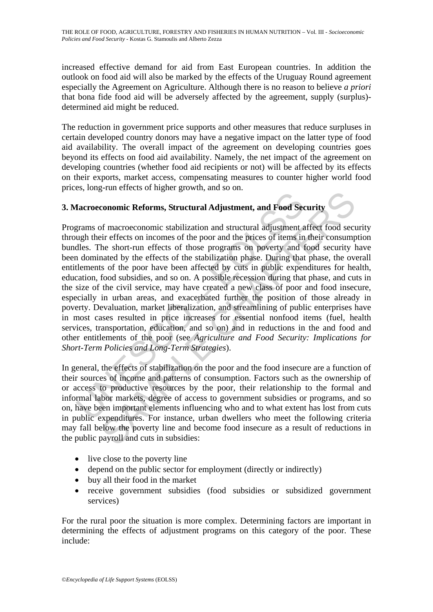THE ROLE OF FOOD, AGRICULTURE, FORESTRY AND FISHERIES IN HUMAN NUTRITION – Vol. III - *Socioeconomic Policies and Food Security* - Kostas G. Stamoulis and Alberto Zezza

increased effective demand for aid from East European countries. In addition the outlook on food aid will also be marked by the effects of the Uruguay Round agreement especially the Agreement on Agriculture. Although there is no reason to believe *a priori*  that bona fide food aid will be adversely affected by the agreement, supply (surplus) determined aid might be reduced.

The reduction in government price supports and other measures that reduce surpluses in certain developed country donors may have a negative impact on the latter type of food aid availability. The overall impact of the agreement on developing countries goes beyond its effects on food aid availability. Namely, the net impact of the agreement on developing countries (whether food aid recipients or not) will be affected by its effects on their exports, market access, compensating measures to counter higher world food prices, long-run effects of higher growth, and so on.

## **3. Macroeconomic Reforms, Structural Adjustment, and Food Security**

**factoeconomic Reforms, Structural Adjustment, and Food Securems** of macroeconomic stabilization and structural adjustment augh their effects on incomes of the poor and the prices of items in dles. The short-run effects of conomic Reforms, Structural Adjustment, and Food Security<br>conomic Reforms, Structural Adjustment, and Food Security<br>of macroeconomic stabilization and structural adjustment affect food security<br>the short-run effects of th Programs of macroeconomic stabilization and structural adjustment affect food security through their effects on incomes of the poor and the prices of items in their consumption bundles. The short-run effects of those programs on poverty and food security have been dominated by the effects of the stabilization phase. During that phase, the overall entitlements of the poor have been affected by cuts in public expenditures for health, education, food subsidies, and so on. A possible recession during that phase, and cuts in the size of the civil service, may have created a new class of poor and food insecure, especially in urban areas, and exacerbated further the position of those already in poverty. Devaluation, market liberalization, and streamlining of public enterprises have in most cases resulted in price increases for essential nonfood items (fuel, health services, transportation, education, and so on) and in reductions in the and food and other entitlements of the poor (see *Agriculture and Food Security: Implications for Short-Term Policies and Long-Term Strategies*).

In general, the effects of stabilization on the poor and the food insecure are a function of their sources of income and patterns of consumption. Factors such as the ownership of or access to productive resources by the poor, their relationship to the formal and informal labor markets, degree of access to government subsidies or programs, and so on, have been important elements influencing who and to what extent has lost from cuts in public expenditures. For instance, urban dwellers who meet the following criteria may fall below the poverty line and become food insecure as a result of reductions in the public payroll and cuts in subsidies:

- live close to the poverty line
- depend on the public sector for employment (directly or indirectly)
- buy all their food in the market
- receive government subsidies (food subsidies or subsidized government services)

For the rural poor the situation is more complex. Determining factors are important in determining the effects of adjustment programs on this category of the poor. These include: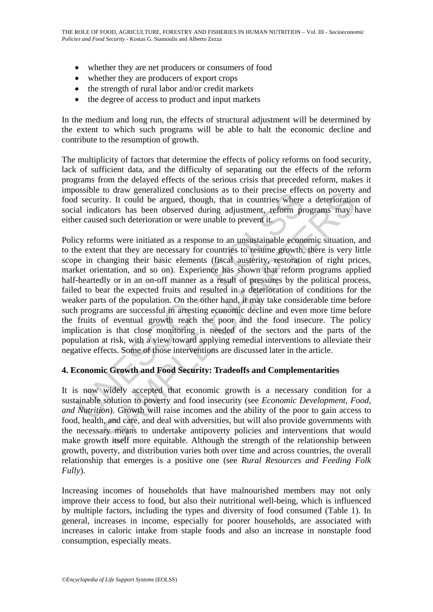- whether they are net producers or consumers of food
- whether they are producers of export crops
- the strength of rural labor and/or credit markets
- the degree of access to product and input markets

In the medium and long run, the effects of structural adjustment will be determined by the extent to which such programs will be able to halt the economic decline and contribute to the resumption of growth.

The multiplicity of factors that determine the effects of policy reforms on food security, lack of sufficient data, and the difficulty of separating out the effects of the reform programs from the delayed effects of the serious crisis that preceded reform, makes it impossible to draw generalized conclusions as to their precise effects on poverty and food security. It could be argued, though, that in countries where a deterioration of social indicators has been observed during adjustment, reform programs may have either caused such deterioration or were unable to prevent it.

Signal to trave generated contrainsoms as ot uncur prices enters<br>in security. It could be argued, though, that in countries where<br>al indicators has been observed during adjustment, reform pr<br>er craused such deterioration to the we generated concustors as to their precise errects on poverty. It could be argued, though, that in countries where a deterioration cators has been observed during adjustment, reform programs may led such deteriora Policy reforms were initiated as a response to an unsustainable economic situation, and to the extent that they are necessary for countries to resume growth, there is very little scope in changing their basic elements (fiscal austerity, restoration of right prices, market orientation, and so on). Experience has shown that reform programs applied half-heartedly or in an on-off manner as a result of pressures by the political process, failed to bear the expected fruits and resulted in a deterioration of conditions for the weaker parts of the population. On the other hand, it may take considerable time before such programs are successful in arresting economic decline and even more time before the fruits of eventual growth reach the poor and the food insecure. The policy implication is that close monitoring is needed of the sectors and the parts of the population at risk, with a view toward applying remedial interventions to alleviate their negative effects. Some of those interventions are discussed later in the article.

### **4. Economic Growth and Food Security: Tradeoffs and Complementarities**

It is now widely accepted that economic growth is a necessary condition for a sustainable solution to poverty and food insecurity (see *Economic Development, Food, and Nutrition*). Growth will raise incomes and the ability of the poor to gain access to food, health, and care, and deal with adversities, but will also provide governments with the necessary means to undertake antipoverty policies and interventions that would make growth itself more equitable. Although the strength of the relationship between growth, poverty, and distribution varies both over time and across countries, the overall relationship that emerges is a positive one (see *Rural Resources and Feeding Folk Fully*).

Increasing incomes of households that have malnourished members may not only improve their access to food, but also their nutritional well-being, which is influenced by multiple factors, including the types and diversity of food consumed (Table 1). In general, increases in income, especially for poorer households, are associated with increases in caloric intake from staple foods and also an increase in nonstaple food consumption, especially meats.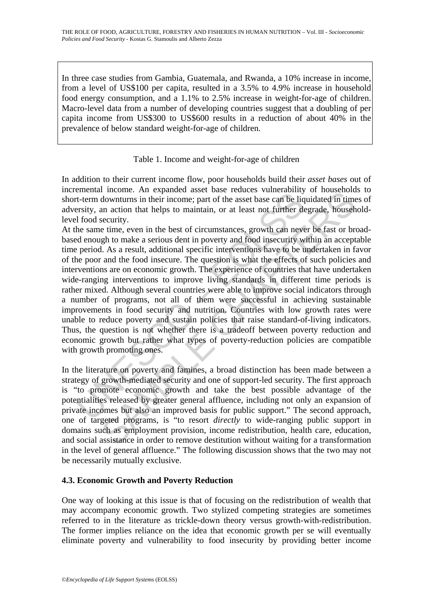In three case studies from Gambia, Guatemala, and Rwanda, a 10% increase in income, from a level of US\$100 per capita, resulted in a 3.5% to 4.9% increase in household food energy consumption, and a 1.1% to 2.5% increase in weight-for-age of children. Macro-level data from a number of developing countries suggest that a doubling of per capita income from US\$300 to US\$600 results in a reduction of about 40% in the prevalence of below standard weight-for-age of children.

### Table 1. Income and weight-for-age of children

In addition to their current income flow, poor households build their *asset bases* out of incremental income. An expanded asset base reduces vulnerability of households to short-term downturns in their income; part of the asset base can be liquidated in times of adversity, an action that helps to maintain, or at least not further degrade, householdlevel food security.

External moother. An expanded asset once to<br>cuest the best considered asset and the light of the asset base can be lighted<br>asset of the asset base can be lighted asset base can be lighted asset base as the light of<br>od secu Incoure. An expansed asset vase reduces vumeranomy or notes routes<br>downturns in their income; part of the asset base can be liquidated in time<br>an action that helps to maintain, or at least not further degrade, house<br>hecuri At the same time, even in the best of circumstances, growth can never be fast or broadbased enough to make a serious dent in poverty and food insecurity within an acceptable time period. As a result, additional specific interventions have to be undertaken in favor of the poor and the food insecure. The question is what the effects of such policies and interventions are on economic growth. The experience of countries that have undertaken wide-ranging interventions to improve living standards in different time periods is rather mixed. Although several countries were able to improve social indicators through a number of programs, not all of them were successful in achieving sustainable improvements in food security and nutrition. Countries with low growth rates were unable to reduce poverty and sustain policies that raise standard-of-living indicators. Thus, the question is not whether there is a tradeoff between poverty reduction and economic growth but rather what types of poverty-reduction policies are compatible with growth promoting ones.

In the literature on poverty and famines, a broad distinction has been made between a strategy of growth-mediated security and one of support-led security. The first approach is "to promote economic growth and take the best possible advantage of the potentialities released by greater general affluence, including not only an expansion of private incomes but also an improved basis for public support." The second approach, one of targeted programs, is "to resort *directly* to wide-ranging public support in domains such as employment provision, income redistribution, health care, education, and social assistance in order to remove destitution without waiting for a transformation in the level of general affluence." The following discussion shows that the two may not be necessarily mutually exclusive.

## **4.3. Economic Growth and Poverty Reduction**

One way of looking at this issue is that of focusing on the redistribution of wealth that may accompany economic growth. Two stylized competing strategies are sometimes referred to in the literature as trickle-down theory versus growth-with-redistribution. The former implies reliance on the idea that economic growth per se will eventually eliminate poverty and vulnerability to food insecurity by providing better income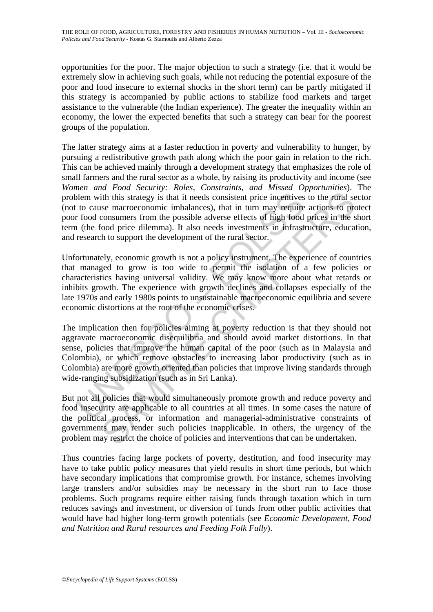opportunities for the poor. The major objection to such a strategy (i.e. that it would be extremely slow in achieving such goals, while not reducing the potential exposure of the poor and food insecure to external shocks in the short term) can be partly mitigated if this strategy is accompanied by public actions to stabilize food markets and target assistance to the vulnerable (the Indian experience). The greater the inequality within an economy, the lower the expected benefits that such a strategy can bear for the poorest groups of the population.

The latter strategy aims at a faster reduction in poverty and vulnerability to hunger, by pursuing a redistributive growth path along which the poor gain in relation to the rich. This can be achieved mainly through a development strategy that emphasizes the role of small farmers and the rural sector as a whole, by raising its productivity and income (see *Women and Food Security: Roles, Constraints, and Missed Opportunities*). The problem with this strategy is that it needs consistent price incentives to the rural sector (not to cause macroeconomic imbalances), that in turn may require actions to protect poor food consumers from the possible adverse effects of high food prices in the short term (the food price dilemma). It also needs investments in infrastructure, education, and research to support the development of the rural sector.

Unfortunately, economic growth is not a policy instrument. The experience of countries that managed to grow is too wide to permit the isolation of a few policies or characteristics having universal validity. We may know more about what retards or inhibits growth. The experience with growth declines and collapses especially of the late 1970s and early 1980s points to unsustainable macroeconomic equilibria and severe economic distortions at the root of the economic crises.

blem with this strategy is that it needs consistent price incentives<br>to cause macroeconomic imbalances), that in turn may require<br>f rood consumers from the possible adverse effects of high food<br>(the food price dilemma). It ith this strategy is that it needs consistent price incentives to the rural sese macroeconomic imbalances), that in turn may require actions to processumers from the possible adverse effects of high food prices in the sose The implication then for policies aiming at poverty reduction is that they should not aggravate macroeconomic disequilibria and should avoid market distortions. In that sense, policies that improve the human capital of the poor (such as in Malaysia and Colombia), or which remove obstacles to increasing labor productivity (such as in Colombia) are more growth oriented than policies that improve living standards through wide-ranging subsidization (such as in Sri Lanka).

But not all policies that would simultaneously promote growth and reduce poverty and food insecurity are applicable to all countries at all times. In some cases the nature of the political process, or information and managerial-administrative constraints of governments may render such policies inapplicable. In others, the urgency of the problem may restrict the choice of policies and interventions that can be undertaken.

Thus countries facing large pockets of poverty, destitution, and food insecurity may have to take public policy measures that yield results in short time periods, but which have secondary implications that compromise growth. For instance, schemes involving large transfers and/or subsidies may be necessary in the short run to face those problems. Such programs require either raising funds through taxation which in turn reduces savings and investment, or diversion of funds from other public activities that would have had higher long-term growth potentials (see *Economic Development, Food and Nutrition and Rural resources and Feeding Folk Fully*).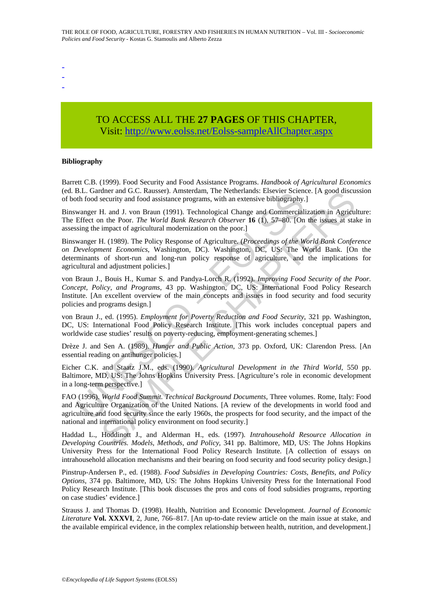- -
- -

# TO ACCESS ALL THE **27 PAGES** OF THIS CHAPTER, Visit[: http://www.eolss.net/Eolss-sampleAllChapter.aspx](https://www.eolss.net/ebooklib/sc_cart.aspx?File=E5-01A-05-02)

#### **Bibliography**

Barrett C.B. (1999). Food Security and Food Assistance Programs. *Handbook of Agricultural Economics* (ed. B.L. Gardner and G.C. Rausser). Amsterdam, The Netherlands: Elsevier Science. [A good discussion of both food security and food assistance programs, with an extensive bibliography.]

Binswanger H. and J. von Braun (1991). Technological Change and Commercialization in Agriculture: The Effect on the Poor. *The World Bank Research Observer* **16** (1), 57–80. [On the issues at stake in assessing the impact of agricultural modernization on the poor.]

B.L. Gauther and Oc. Kausser). Anistetualn, the Neutenlands. Ensever Scientistical<br>Infrod security and food assistance programs, with an extensive bibliography.<br>Wanger H. and J. von Braun (1991). Technological Change and C mer and G.C. Rausser). Amsterdam, Ine Netherhands: Eusevier Science. [A good discursecurity and food assistance programs, with an extensive bibliography.]<br>H. and J. von Braun (1991). Technological Change and Commercializat Binswanger H. (1989). The Policy Response of Agriculture. (*Proceedings of the World Bank Conference on Development Economics*, Washington, DC). Washington, DC, US: The World Bank. [On the determinants of short-run and long-run policy response of agriculture, and the implications for agricultural and adjustment policies.]

von Braun J., Bouis H., Kumar S. and Pandya-Lorch R. (1992). *Improving Food Security of the Poor. Concept, Policy, and Programs*, 43 pp. Washington, DC, US: International Food Policy Research Institute. [An excellent overview of the main concepts and issues in food security and food security policies and programs design.]

von Braun J., ed. (1995). *Employment for Poverty Reduction and Food Security*, 321 pp. Washington, DC, US: International Food Policy Research Institute. [This work includes conceptual papers and worldwide case studies' results on poverty-reducing, employment-generating schemes.]

Drèze J. and Sen A. (1989). *Hunger and Public Action*, 373 pp. Oxford, UK: Clarendon Press. [An essential reading on antihunger policies.]

Eicher C.K. and Staatz J.M., eds. (1990). *Agricultural Development in the Third World*, 550 pp. Baltimore, MD, US: The Johns Hopkins University Press. [Agriculture's role in economic development in a long-term perspective.]

FAO (1996). *World Food Summit. Technical Background Documents*, Three volumes. Rome, Italy: Food and Agriculture Organization of the United Nations. [A review of the developments in world food and agriculture and food security since the early 1960s, the prospects for food security, and the impact of the national and international policy environment on food security.]

Haddad L., Hoddinott J., and Alderman H., eds. (1997). *Intrahousehold Resource Allocation in Developing Countries. Models, Methods, and Policy*, 341 pp. Baltimore, MD, US: The Johns Hopkins University Press for the International Food Policy Research Institute. [A collection of essays on intrahousehold allocation mechanisms and their bearing on food security and food security policy design.]

Pinstrup-Andersen P., ed. (1988). *Food Subsidies in Developing Countries: Costs, Benefits, and Policy Options*, 374 pp. Baltimore, MD, US: The Johns Hopkins University Press for the International Food Policy Research Institute. [This book discusses the pros and cons of food subsidies programs, reporting on case studies' evidence.]

Strauss J. and Thomas D. (1998). Health, Nutrition and Economic Development. *Journal of Economic Literature* **Vol. XXXVI**, 2, June, 766–817. [An up-to-date review article on the main issue at stake, and the available empirical evidence, in the complex relationship between health, nutrition, and development.]